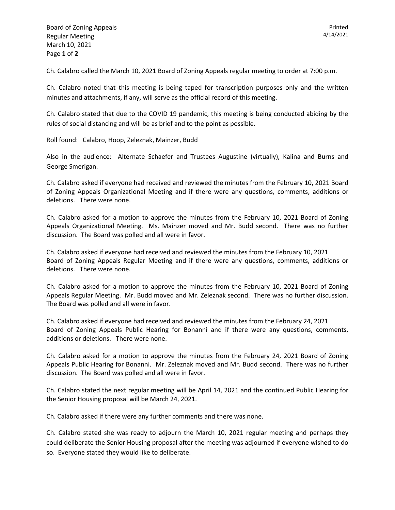Ch. Calabro called the March 10, 2021 Board of Zoning Appeals regular meeting to order at 7:00 p.m.

Ch. Calabro noted that this meeting is being taped for transcription purposes only and the written minutes and attachments, if any, will serve as the official record of this meeting.

Ch. Calabro stated that due to the COVID 19 pandemic, this meeting is being conducted abiding by the rules of social distancing and will be as brief and to the point as possible.

Roll found: Calabro, Hoop, Zeleznak, Mainzer, Budd

Also in the audience: Alternate Schaefer and Trustees Augustine (virtually), Kalina and Burns and George Smerigan.

Ch. Calabro asked if everyone had received and reviewed the minutes from the February 10, 2021 Board of Zoning Appeals Organizational Meeting and if there were any questions, comments, additions or deletions. There were none.

Ch. Calabro asked for a motion to approve the minutes from the February 10, 2021 Board of Zoning Appeals Organizational Meeting. Ms. Mainzer moved and Mr. Budd second. There was no further discussion. The Board was polled and all were in favor.

Ch. Calabro asked if everyone had received and reviewed the minutes from the February 10, 2021 Board of Zoning Appeals Regular Meeting and if there were any questions, comments, additions or deletions. There were none.

Ch. Calabro asked for a motion to approve the minutes from the February 10, 2021 Board of Zoning Appeals Regular Meeting. Mr. Budd moved and Mr. Zeleznak second. There was no further discussion. The Board was polled and all were in favor.

Ch. Calabro asked if everyone had received and reviewed the minutes from the February 24, 2021 Board of Zoning Appeals Public Hearing for Bonanni and if there were any questions, comments, additions or deletions. There were none.

Ch. Calabro asked for a motion to approve the minutes from the February 24, 2021 Board of Zoning Appeals Public Hearing for Bonanni. Mr. Zeleznak moved and Mr. Budd second. There was no further discussion. The Board was polled and all were in favor.

Ch. Calabro stated the next regular meeting will be April 14, 2021 and the continued Public Hearing for the Senior Housing proposal will be March 24, 2021.

Ch. Calabro asked if there were any further comments and there was none.

Ch. Calabro stated she was ready to adjourn the March 10, 2021 regular meeting and perhaps they could deliberate the Senior Housing proposal after the meeting was adjourned if everyone wished to do so. Everyone stated they would like to deliberate.